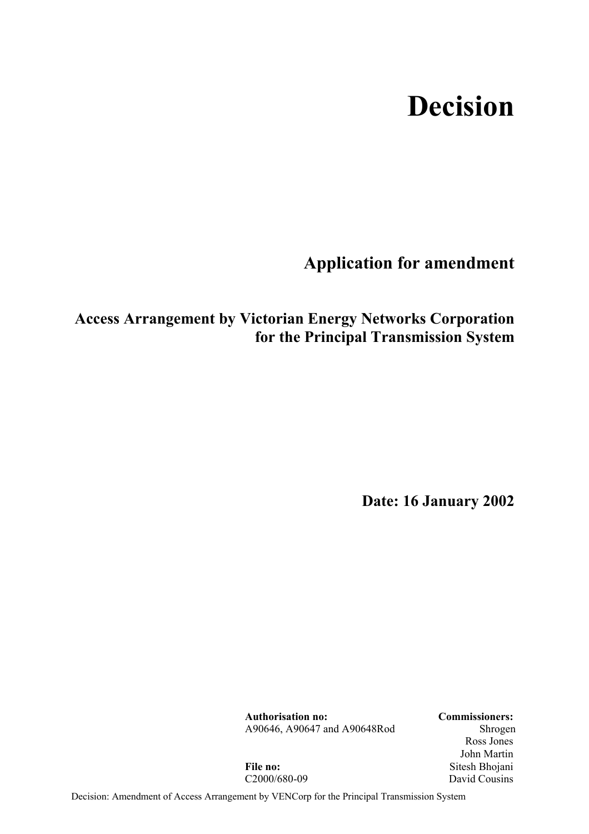# **Decision**

**Application for amendment** 

## **Access Arrangement by Victorian Energy Networks Corporation for the Principal Transmission System**

**Date: 16 January 2002** 

**Authorisation no: Commissioners:** A90646, A90647 and A90648Rod Shrogen

 Ross Jones John Martin **File no:** Sitesh Bhojani C<sub>2000</sub>/680-09 David Cousins

Decision: Amendment of Access Arrangement by VENCorp for the Principal Transmission System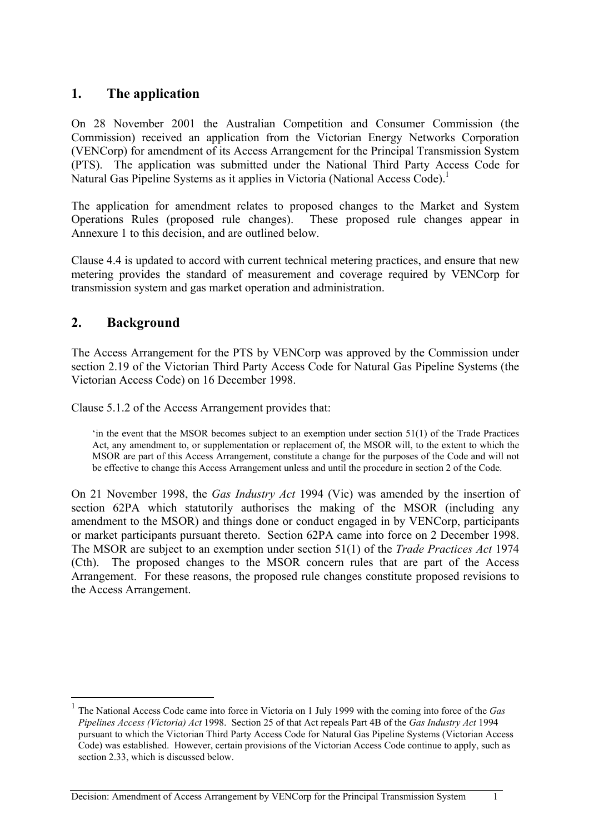## **1. The application**

On 28 November 2001 the Australian Competition and Consumer Commission (the Commission) received an application from the Victorian Energy Networks Corporation (VENCorp) for amendment of its Access Arrangement for the Principal Transmission System (PTS). The application was submitted under the National Third Party Access Code for Natural Gas Pipeline Systems as it applies in Victoria (National Access Code).<sup>1</sup>

The application for amendment relates to proposed changes to the Market and System Operations Rules (proposed rule changes). These proposed rule changes appear in Annexure 1 to this decision, and are outlined below.

Clause 4.4 is updated to accord with current technical metering practices, and ensure that new metering provides the standard of measurement and coverage required by VENCorp for transmission system and gas market operation and administration.

## **2. Background**

 $\overline{a}$ 

The Access Arrangement for the PTS by VENCorp was approved by the Commission under section 2.19 of the Victorian Third Party Access Code for Natural Gas Pipeline Systems (the Victorian Access Code) on 16 December 1998.

Clause 5.1.2 of the Access Arrangement provides that:

'in the event that the MSOR becomes subject to an exemption under section 51(1) of the Trade Practices Act, any amendment to, or supplementation or replacement of, the MSOR will, to the extent to which the MSOR are part of this Access Arrangement, constitute a change for the purposes of the Code and will not be effective to change this Access Arrangement unless and until the procedure in section 2 of the Code.

On 21 November 1998, the *Gas Industry Act* 1994 (Vic) was amended by the insertion of section 62PA which statutorily authorises the making of the MSOR (including any amendment to the MSOR) and things done or conduct engaged in by VENCorp, participants or market participants pursuant thereto. Section 62PA came into force on 2 December 1998. The MSOR are subject to an exemption under section 51(1) of the *Trade Practices Act* 1974 (Cth). The proposed changes to the MSOR concern rules that are part of the Access Arrangement. For these reasons, the proposed rule changes constitute proposed revisions to the Access Arrangement.

<sup>1</sup> The National Access Code came into force in Victoria on 1 July 1999 with the coming into force of the *Gas Pipelines Access (Victoria) Act* 1998. Section 25 of that Act repeals Part 4B of the *Gas Industry Act* 1994 pursuant to which the Victorian Third Party Access Code for Natural Gas Pipeline Systems (Victorian Access Code) was established. However, certain provisions of the Victorian Access Code continue to apply, such as section 2.33, which is discussed below.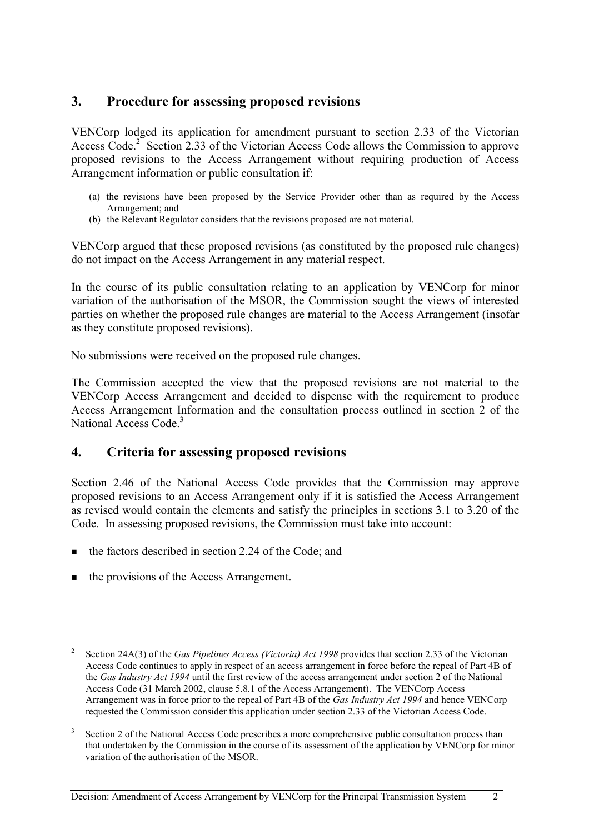## **3. Procedure for assessing proposed revisions**

VENCorp lodged its application for amendment pursuant to section 2.33 of the Victorian Access Code.<sup>2</sup> Section 2.33 of the Victorian Access Code allows the Commission to approve proposed revisions to the Access Arrangement without requiring production of Access Arrangement information or public consultation if:

- (a) the revisions have been proposed by the Service Provider other than as required by the Access Arrangement; and
- (b) the Relevant Regulator considers that the revisions proposed are not material.

VENCorp argued that these proposed revisions (as constituted by the proposed rule changes) do not impact on the Access Arrangement in any material respect.

In the course of its public consultation relating to an application by VENCorp for minor variation of the authorisation of the MSOR, the Commission sought the views of interested parties on whether the proposed rule changes are material to the Access Arrangement (insofar as they constitute proposed revisions).

No submissions were received on the proposed rule changes.

The Commission accepted the view that the proposed revisions are not material to the VENCorp Access Arrangement and decided to dispense with the requirement to produce Access Arrangement Information and the consultation process outlined in section 2 of the National Access Code.<sup>3</sup>

## **4. Criteria for assessing proposed revisions**

Section 2.46 of the National Access Code provides that the Commission may approve proposed revisions to an Access Arrangement only if it is satisfied the Access Arrangement as revised would contain the elements and satisfy the principles in sections 3.1 to 3.20 of the Code. In assessing proposed revisions, the Commission must take into account:

- $\blacksquare$  the factors described in section 2.24 of the Code; and
- the provisions of the Access Arrangement.

 $\overline{a}$ 2 Section 24A(3) of the *Gas Pipelines Access (Victoria) Act 1998* provides that section 2.33 of the Victorian Access Code continues to apply in respect of an access arrangement in force before the repeal of Part 4B of the *Gas Industry Act 1994* until the first review of the access arrangement under section 2 of the National Access Code (31 March 2002, clause 5.8.1 of the Access Arrangement). The VENCorp Access Arrangement was in force prior to the repeal of Part 4B of the *Gas Industry Act 1994* and hence VENCorp requested the Commission consider this application under section 2.33 of the Victorian Access Code.

<sup>3</sup> Section 2 of the National Access Code prescribes a more comprehensive public consultation process than that undertaken by the Commission in the course of its assessment of the application by VENCorp for minor variation of the authorisation of the MSOR.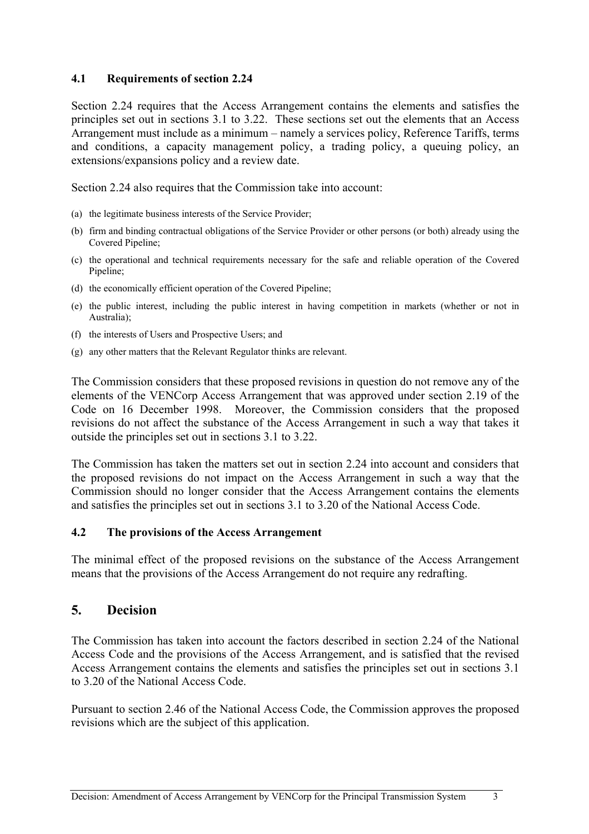#### **4.1 Requirements of section 2.24**

Section 2.24 requires that the Access Arrangement contains the elements and satisfies the principles set out in sections 3.1 to 3.22. These sections set out the elements that an Access Arrangement must include as a minimum – namely a services policy, Reference Tariffs, terms and conditions, a capacity management policy, a trading policy, a queuing policy, an extensions/expansions policy and a review date.

Section 2.24 also requires that the Commission take into account:

- (a) the legitimate business interests of the Service Provider;
- (b) firm and binding contractual obligations of the Service Provider or other persons (or both) already using the Covered Pipeline;
- (c) the operational and technical requirements necessary for the safe and reliable operation of the Covered Pipeline;
- (d) the economically efficient operation of the Covered Pipeline;
- (e) the public interest, including the public interest in having competition in markets (whether or not in Australia);
- (f) the interests of Users and Prospective Users; and
- (g) any other matters that the Relevant Regulator thinks are relevant.

The Commission considers that these proposed revisions in question do not remove any of the elements of the VENCorp Access Arrangement that was approved under section 2.19 of the Code on 16 December 1998. Moreover, the Commission considers that the proposed revisions do not affect the substance of the Access Arrangement in such a way that takes it outside the principles set out in sections 3.1 to 3.22.

The Commission has taken the matters set out in section 2.24 into account and considers that the proposed revisions do not impact on the Access Arrangement in such a way that the Commission should no longer consider that the Access Arrangement contains the elements and satisfies the principles set out in sections 3.1 to 3.20 of the National Access Code.

#### **4.2 The provisions of the Access Arrangement**

The minimal effect of the proposed revisions on the substance of the Access Arrangement means that the provisions of the Access Arrangement do not require any redrafting.

## **5. Decision**

The Commission has taken into account the factors described in section 2.24 of the National Access Code and the provisions of the Access Arrangement, and is satisfied that the revised Access Arrangement contains the elements and satisfies the principles set out in sections 3.1 to 3.20 of the National Access Code.

Pursuant to section 2.46 of the National Access Code, the Commission approves the proposed revisions which are the subject of this application.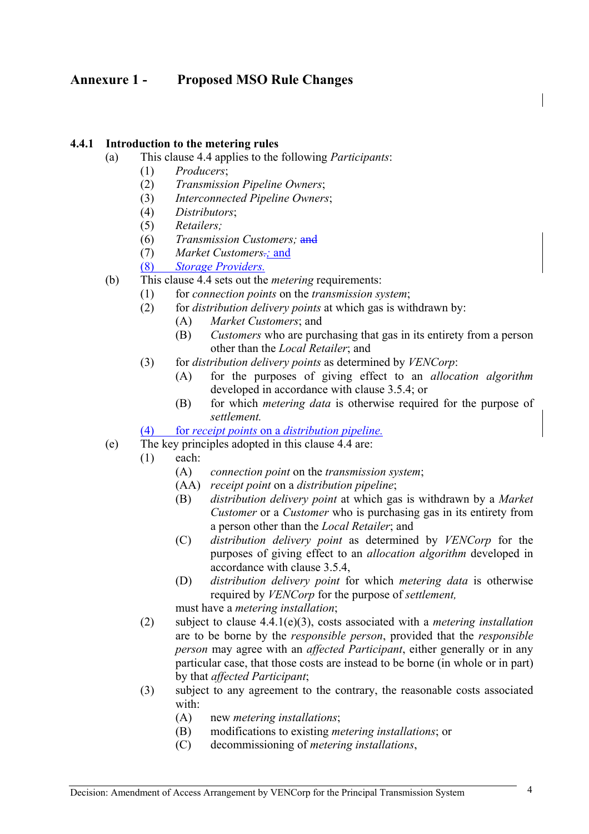## **Annexure 1 - Proposed MSO Rule Changes**

#### **4.4.1 Introduction to the metering rules**

- (a) This clause 4.4 applies to the following *Participants*:
	- (1) *Producers*;
	- (2) *Transmission Pipeline Owners*;
	- (3) *Interconnected Pipeline Owners*;
	- (4) *Distributors*;
	- (5) *Retailers;*
	- (6) *Transmission Customers;* and
	- (7) *Market Customers.;* and
	- (8) *Storage Providers.*
- (b) This clause 4.4 sets out the *metering* requirements:
	- (1) for *connection points* on the *transmission system*;
	- (2) for *distribution delivery points* at which gas is withdrawn by:
		- (A) *Market Customers*; and
		- (B) *Customers* who are purchasing that gas in its entirety from a person other than the *Local Retailer*; and
	- (3) for *distribution delivery points* as determined by *VENCorp*:
		- (A) for the purposes of giving effect to an *allocation algorithm*  developed in accordance with clause 3.5.4; or
		- (B) for which *metering data* is otherwise required for the purpose of *settlement.*
	- (4) for *receipt points* on a *distribution pipeline.*
- (e) The key principles adopted in this clause 4.4 are:
	- (1) each:
		- (A) *connection point* on the *transmission system*;
		- (AA) *receipt point* on a *distribution pipeline*;
		- (B) *distribution delivery point* at which gas is withdrawn by a *Market Customer* or a *Customer* who is purchasing gas in its entirety from a person other than the *Local Retailer*; and
		- (C) *distribution delivery point* as determined by *VENCorp* for the purposes of giving effect to an *allocation algorithm* developed in accordance with clause 3.5.4,
		- (D) *distribution delivery point* for which *metering data* is otherwise required by *VENCorp* for the purpose of *settlement,*
		- must have a *metering installation*;
	- (2) subject to clause 4.4.1(e)(3), costs associated with a *metering installation* are to be borne by the *responsible person*, provided that the *responsible person* may agree with an *affected Participant*, either generally or in any particular case, that those costs are instead to be borne (in whole or in part) by that *affected Participant*;
	- (3) subject to any agreement to the contrary, the reasonable costs associated with:
		- (A) new *metering installations*;
		- (B) modifications to existing *metering installations*; or
		- (C) decommissioning of *metering installations*,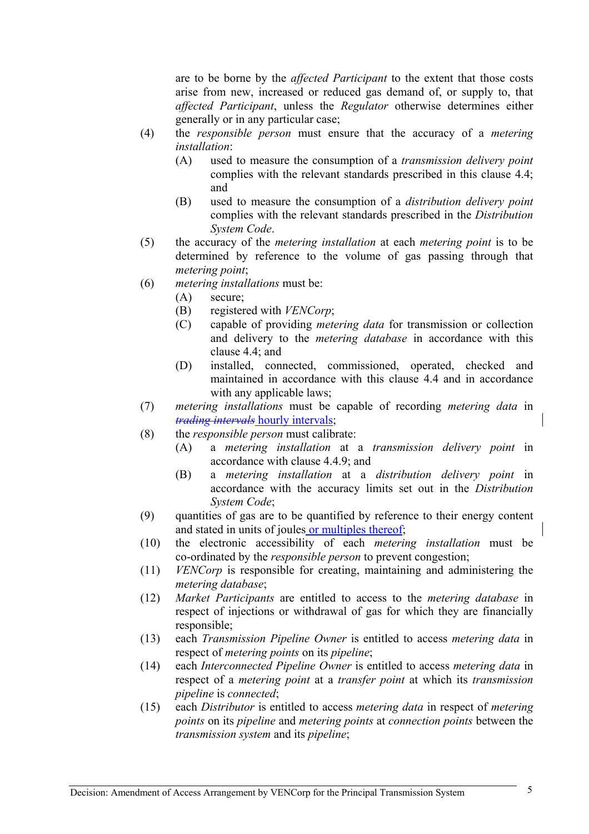are to be borne by the *affected Participant* to the extent that those costs arise from new, increased or reduced gas demand of, or supply to, that *affected Participant*, unless the *Regulator* otherwise determines either generally or in any particular case;

- (4) the *responsible person* must ensure that the accuracy of a *metering installation*:
	- (A) used to measure the consumption of a *transmission delivery point*  complies with the relevant standards prescribed in this clause 4.4; and
	- (B) used to measure the consumption of a *distribution delivery point*  complies with the relevant standards prescribed in the *Distribution System Code*.
- (5) the accuracy of the *metering installation* at each *metering point* is to be determined by reference to the volume of gas passing through that *metering point*;
- (6) *metering installations* must be:
	- (A) secure;
	- (B) registered with *VENCorp*;
	- (C) capable of providing *metering data* for transmission or collection and delivery to the *metering database* in accordance with this clause 4.4; and
	- (D) installed, connected, commissioned, operated, checked and maintained in accordance with this clause 4.4 and in accordance with any applicable laws;
- (7) *metering installations* must be capable of recording *metering data* in *trading intervals* hourly intervals;
- (8) the *responsible person* must calibrate:
	- (A) a *metering installation* at a *transmission delivery point* in accordance with clause 4.4.9; and
	- (B) a *metering installation* at a *distribution delivery point* in accordance with the accuracy limits set out in the *Distribution System Code*;
- (9) quantities of gas are to be quantified by reference to their energy content and stated in units of joules or multiples thereof;
- (10) the electronic accessibility of each *metering installation* must be co-ordinated by the *responsible person* to prevent congestion;
- (11) *VENCorp* is responsible for creating, maintaining and administering the *metering database*;
- (12) *Market Participants* are entitled to access to the *metering database* in respect of injections or withdrawal of gas for which they are financially responsible;
- (13) each *Transmission Pipeline Owner* is entitled to access *metering data* in respect of *metering points* on its *pipeline*;
- (14) each *Interconnected Pipeline Owner* is entitled to access *metering data* in respect of a *metering point* at a *transfer point* at which its *transmission pipeline* is *connected*;
- (15) each *Distributor* is entitled to access *metering data* in respect of *metering points* on its *pipeline* and *metering points* at *connection points* between the *transmission system* and its *pipeline*;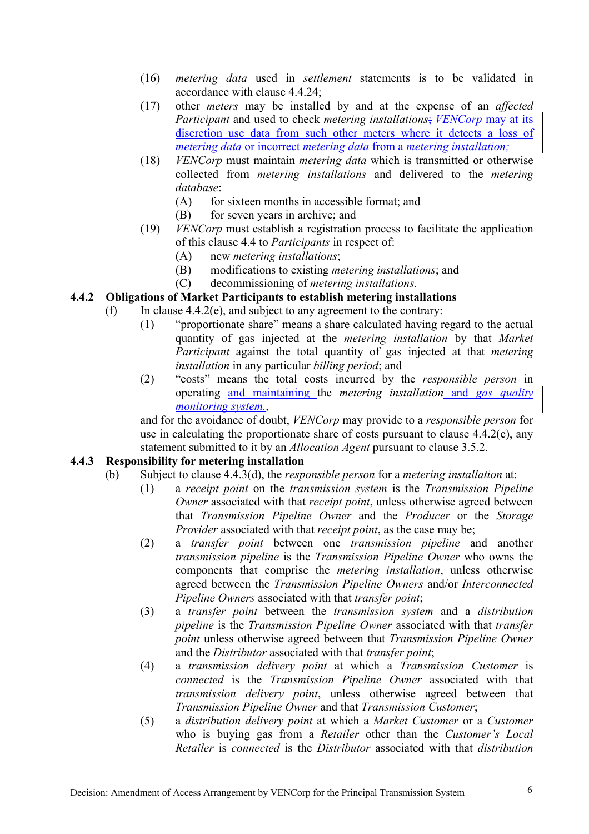- (16) *metering data* used in *settlement* statements is to be validated in accordance with clause 4.4.24;
- (17) other *meters* may be installed by and at the expense of an *affected Participant* and used to check *metering installations*; *VENCorp* may at its discretion use data from such other meters where it detects a loss of *metering data* or incorrect *metering data* from a *metering installation;*
- (18) *VENCorp* must maintain *metering data* which is transmitted or otherwise collected from *metering installations* and delivered to the *metering database*:
	- (A) for sixteen months in accessible format; and
	- (B) for seven years in archive; and
- (19) *VENCorp* must establish a registration process to facilitate the application of this clause 4.4 to *Participants* in respect of:
	- (A) new *metering installations*;
	- (B) modifications to existing *metering installations*; and
	- (C) decommissioning of *metering installations*.

#### **4.4.2 Obligations of Market Participants to establish metering installations**

- (f) In clause  $4.4.2(e)$ , and subject to any agreement to the contrary:
	- (1) "proportionate share" means a share calculated having regard to the actual quantity of gas injected at the *metering installation* by that *Market Participant* against the total quantity of gas injected at that *metering installation* in any particular *billing period*; and
	- (2) "costs" means the total costs incurred by the *responsible person* in operating and maintaining the *metering installation* and *gas quality monitoring system.*,

and for the avoidance of doubt, *VENCorp* may provide to a *responsible person* for use in calculating the proportionate share of costs pursuant to clause 4.4.2(e), any statement submitted to it by an *Allocation Agent* pursuant to clause 3.5.2.

#### **4.4.3 Responsibility for metering installation**

- (b) Subject to clause 4.4.3(d), the *responsible person* for a *metering installation* at:
	- (1) a *receipt point* on the *transmission system* is the *Transmission Pipeline Owner* associated with that *receipt point*, unless otherwise agreed between that *Transmission Pipeline Owner* and the *Producer* or the *Storage Provider* associated with that *receipt point*, as the case may be;
	- (2) a *transfer point* between one *transmission pipeline* and another *transmission pipeline* is the *Transmission Pipeline Owner* who owns the components that comprise the *metering installation*, unless otherwise agreed between the *Transmission Pipeline Owners* and/or *Interconnected Pipeline Owners* associated with that *transfer point*;
	- (3) a *transfer point* between the *transmission system* and a *distribution pipeline* is the *Transmission Pipeline Owner* associated with that *transfer point* unless otherwise agreed between that *Transmission Pipeline Owner*  and the *Distributor* associated with that *transfer point*;
	- (4) a *transmission delivery point* at which a *Transmission Customer* is *connected* is the *Transmission Pipeline Owner* associated with that *transmission delivery point*, unless otherwise agreed between that *Transmission Pipeline Owner* and that *Transmission Customer*;
	- (5) a *distribution delivery point* at which a *Market Customer* or a *Customer*  who is buying gas from a *Retailer* other than the *Customer's Local Retailer* is *connected* is the *Distributor* associated with that *distribution*